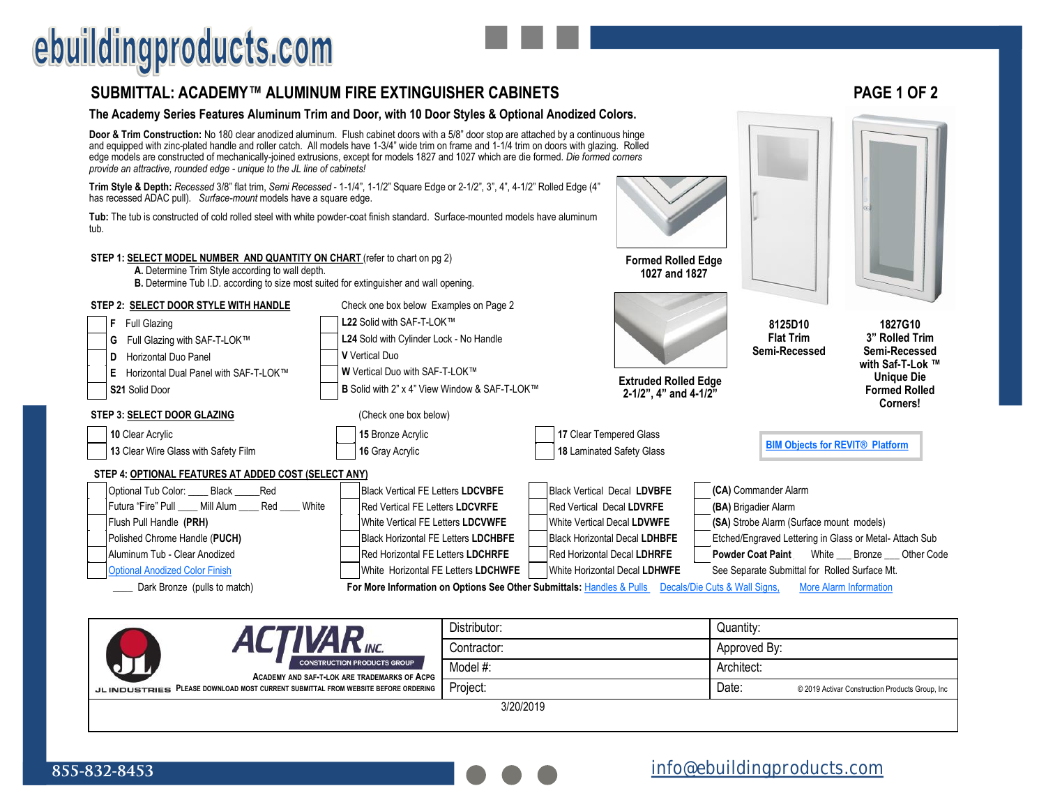# ebuildingproducts.com

### **SUBMITTAL: ACADEMY™ ALUMINUM FIRE EXTINGUISHER CABINETS PAGE 1 OF 2**

### **The Academy Series Features Aluminum Trim and Door, with 10 Door Styles & Optional Anodized Colors.**

**Door & Trim Construction:** No 180 clear anodized aluminum. Flush cabinet doors with a 5/8" door stop are attached by a continuous hinge and equipped with zinc-plated handle and roller catch. All models have 1-3/4" wide trim on frame and 1-1/4 trim on doors with glazing. Rolled edge models are constructed of mechanically-joined extrusions, except for models 1827 and 1027 which are die formed. *Die formed corners provide an attractive, rounded edge - unique to the JL line of cabinets!*

**Trim Style & Depth:** *Recessed* 3/8" flat trim, *Semi Recessed* - 1-1/4", 1-1/2" Square Edge or 2-1/2", 3", 4", 4-1/2" Rolled Edge (4" has recessed ADAC pull). *Surface-mount* models have a square edge.

**Tub:** The tub is constructed of cold rolled steel with white powder-coat finish standard. Surface-mounted models have aluminum tub.

#### **STEP 1: SELECT MODEL NUMBER AND QUANTITY ON CHART** (refer to chart on pg 2)

**A.** Determine Trim Style according to wall depth.

**B.** Determine Tub I.D. according to size most suited for extinguisher and wall opening.



Dark Bronze (pulls to match) **For More Information on Options See Other Submittals: Handles & Pulls Decals/Die Cuts & Wall Signs, More Alarm Information** 

|                                                                                    | Distributor: | Quantity:    |                                                 |
|------------------------------------------------------------------------------------|--------------|--------------|-------------------------------------------------|
| <b>VAR</b> <sub>INC.</sub>                                                         | Contractor:  | Approved By: |                                                 |
| <b>CONSTRUCTION PRODUCTS GROUP</b><br>ACADEMY AND SAF-T-LOK ARE TRADEMARKS OF ACPG | Model #:     | Architect:   |                                                 |
| JL INDUSTRIES PLEASE DOWNLOAD MOST CURRENT SUBMITTAL FROM WEBSITE BEFORE ORDERING  | Project:     | Date:        | © 2019 Activar Construction Products Group, Inc |
|                                                                                    | 3/20/2019    |              |                                                 |

**Formed Rolled Edge 1027 and 1827**